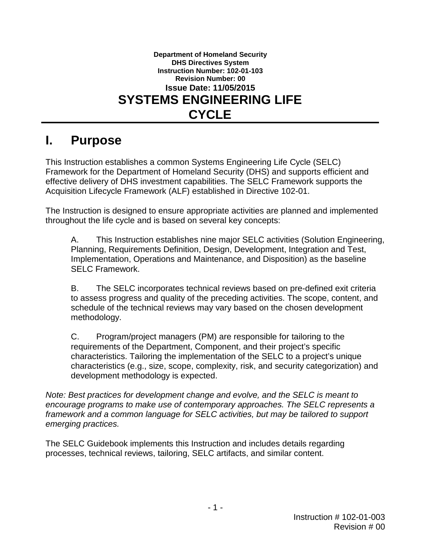**Department of Homeland Security DHS Directives System Instruction Number: 102-01-103 Revision Number: 00 Issue Date: 11/05/2015 SYSTEMS ENGINEERING LIFE CYCLE**

## **I. Purpose**

This Instruction establishes a common Systems Engineering Life Cycle (SELC) Framework for the Department of Homeland Security (DHS) and supports efficient and effective delivery of DHS investment capabilities. The SELC Framework supports the Acquisition Lifecycle Framework (ALF) established in Directive 102-01.

The Instruction is designed to ensure appropriate activities are planned and implemented throughout the life cycle and is based on several key concepts:

A. This Instruction establishes nine major SELC activities (Solution Engineering, Planning, Requirements Definition, Design, Development, Integration and Test, Implementation, Operations and Maintenance, and Disposition) as the baseline SELC Framework.

B. The SELC incorporates technical reviews based on pre-defined exit criteria to assess progress and quality of the preceding activities. The scope, content, and schedule of the technical reviews may vary based on the chosen development methodology.

C. Program/project managers (PM) are responsible for tailoring to the requirements of the Department, Component, and their project's specific characteristics. Tailoring the implementation of the SELC to a project's unique characteristics (e.g., size, scope, complexity, risk, and security categorization) and development methodology is expected.

*Note: Best practices for development change and evolve, and the SELC is meant to encourage programs to make use of contemporary approaches. The SELC represents a framework and a common language for SELC activities, but may be tailored to support emerging practices.*

The SELC Guidebook implements this Instruction and includes details regarding processes, technical reviews, tailoring, SELC artifacts, and similar content.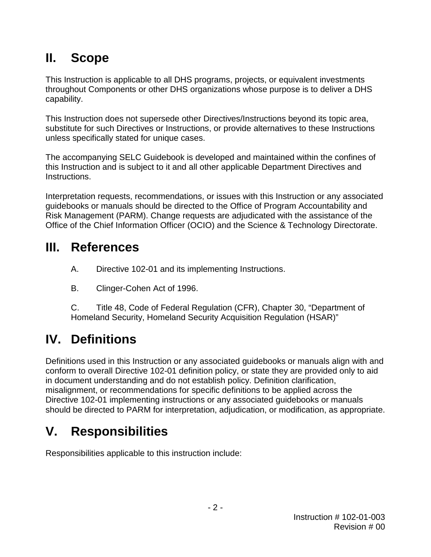# **II. Scope**

This Instruction is applicable to all DHS programs, projects, or equivalent investments throughout Components or other DHS organizations whose purpose is to deliver a DHS capability.

This Instruction does not supersede other Directives/Instructions beyond its topic area, substitute for such Directives or Instructions, or provide alternatives to these Instructions unless specifically stated for unique cases.

The accompanying SELC Guidebook is developed and maintained within the confines of this Instruction and is subject to it and all other applicable Department Directives and Instructions.

Interpretation requests, recommendations, or issues with this Instruction or any associated guidebooks or manuals should be directed to the Office of Program Accountability and Risk Management (PARM). Change requests are adjudicated with the assistance of the Office of the Chief Information Officer (OCIO) and the Science & Technology Directorate.

# **III. References**

- A. Directive 102-01 and its implementing Instructions.
- B. Clinger-Cohen Act of 1996.

C. Title 48, Code of Federal Regulation (CFR), Chapter 30, "Department of Homeland Security, Homeland Security Acquisition Regulation (HSAR)"

# **IV. Definitions**

Definitions used in this Instruction or any associated guidebooks or manuals align with and conform to overall Directive 102-01 definition policy, or state they are provided only to aid in document understanding and do not establish policy. Definition clarification, misalignment, or recommendations for specific definitions to be applied across the Directive 102-01 implementing instructions or any associated guidebooks or manuals should be directed to PARM for interpretation, adjudication, or modification, as appropriate.

# **V. Responsibilities**

Responsibilities applicable to this instruction include: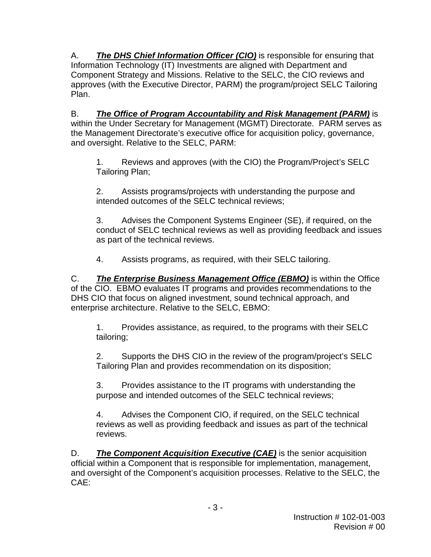A. *The DHS Chief Information Officer (CIO)* is responsible for ensuring that Information Technology (IT) Investments are aligned with Department and Component Strategy and Missions. Relative to the SELC, the CIO reviews and approves (with the Executive Director, PARM) the program/project SELC Tailoring Plan.

B. *The Office of Program Accountability and Risk Management (PARM)* is within the Under Secretary for Management (MGMT) Directorate. PARM serves as the Management Directorate's executive office for acquisition policy, governance, and oversight. Relative to the SELC, PARM:

1. Reviews and approves (with the CIO) the Program/Project's SELC Tailoring Plan;

2. Assists programs/projects with understanding the purpose and intended outcomes of the SELC technical reviews;

3. Advises the Component Systems Engineer (SE), if required, on the conduct of SELC technical reviews as well as providing feedback and issues as part of the technical reviews.

4. Assists programs, as required, with their SELC tailoring.

C. *The Enterprise Business Management Office (EBMO)* is within the Office of the CIO. EBMO evaluates IT programs and provides recommendations to the DHS CIO that focus on aligned investment, sound technical approach, and enterprise architecture. Relative to the SELC, EBMO:

1. Provides assistance, as required, to the programs with their SELC tailoring;

2. Supports the DHS CIO in the review of the program/project's SELC Tailoring Plan and provides recommendation on its disposition;

3. Provides assistance to the IT programs with understanding the purpose and intended outcomes of the SELC technical reviews;

4. Advises the Component CIO, if required, on the SELC technical reviews as well as providing feedback and issues as part of the technical reviews.

D. *The Component Acquisition Executive (CAE)* is the senior acquisition official within a Component that is responsible for implementation, management, and oversight of the Component's acquisition processes. Relative to the SELC, the CAE: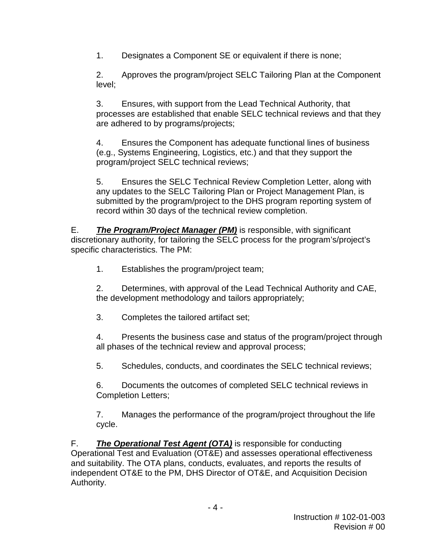1. Designates a Component SE or equivalent if there is none;

2. Approves the program/project SELC Tailoring Plan at the Component level;

3. Ensures, with support from the Lead Technical Authority, that processes are established that enable SELC technical reviews and that they are adhered to by programs/projects;

4. Ensures the Component has adequate functional lines of business (e.g., Systems Engineering, Logistics, etc.) and that they support the program/project SELC technical reviews;

5. Ensures the SELC Technical Review Completion Letter, along with any updates to the SELC Tailoring Plan or Project Management Plan, is submitted by the program/project to the DHS program reporting system of record within 30 days of the technical review completion.

E. *The Program/Project Manager (PM)* is responsible, with significant discretionary authority, for tailoring the SELC process for the program's/project's specific characteristics. The PM:

1. Establishes the program/project team;

2. Determines, with approval of the Lead Technical Authority and CAE, the development methodology and tailors appropriately;

3. Completes the tailored artifact set;

4. Presents the business case and status of the program/project through all phases of the technical review and approval process;

5. Schedules, conducts, and coordinates the SELC technical reviews;

6. Documents the outcomes of completed SELC technical reviews in Completion Letters;

7. Manages the performance of the program/project throughout the life cycle.

F. *The Operational Test Agent (OTA)* is responsible for conducting Operational Test and Evaluation (OT&E) and assesses operational effectiveness and suitability. The OTA plans, conducts, evaluates, and reports the results of independent OT&E to the PM, DHS Director of OT&E, and Acquisition Decision Authority.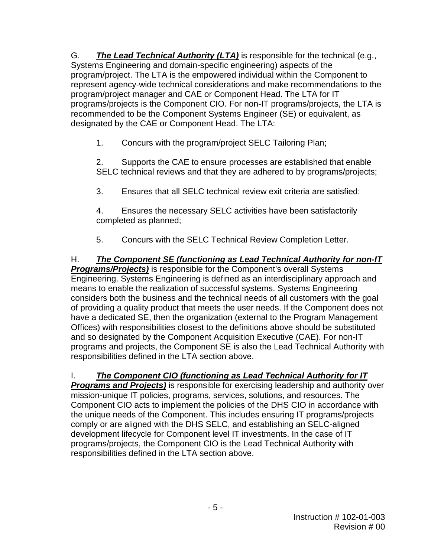G. *The Lead Technical Authority (LTA)* is responsible for the technical (e.g., Systems Engineering and domain-specific engineering) aspects of the program/project. The LTA is the empowered individual within the Component to represent agency-wide technical considerations and make recommendations to the program/project manager and CAE or Component Head. The LTA for IT programs/projects is the Component CIO. For non-IT programs/projects, the LTA is recommended to be the Component Systems Engineer (SE) or equivalent, as designated by the CAE or Component Head. The LTA:

1. Concurs with the program/project SELC Tailoring Plan;

2. Supports the CAE to ensure processes are established that enable SELC technical reviews and that they are adhered to by programs/projects;

3. Ensures that all SELC technical review exit criteria are satisfied;

4. Ensures the necessary SELC activities have been satisfactorily completed as planned;

5. Concurs with the SELC Technical Review Completion Letter.

H. *The Component SE (functioning as Lead Technical Authority for non-IT Programs/Projects)* is responsible for the Component's overall Systems Engineering. Systems Engineering is defined as an interdisciplinary approach and means to enable the realization of successful systems. Systems Engineering considers both the business and the technical needs of all customers with the goal of providing a quality product that meets the user needs. If the Component does not have a dedicated SE, then the organization (external to the Program Management Offices) with responsibilities closest to the definitions above should be substituted and so designated by the Component Acquisition Executive (CAE). For non-IT programs and projects, the Component SE is also the Lead Technical Authority with responsibilities defined in the LTA section above.

## I. *The Component CIO (functioning as Lead Technical Authority for IT*

*Programs and Projects)* is responsible for exercising leadership and authority over mission-unique IT policies, programs, services, solutions, and resources. The Component CIO acts to implement the policies of the DHS CIO in accordance with the unique needs of the Component. This includes ensuring IT programs/projects comply or are aligned with the DHS SELC, and establishing an SELC-aligned development lifecycle for Component level IT investments. In the case of IT programs/projects, the Component CIO is the Lead Technical Authority with responsibilities defined in the LTA section above.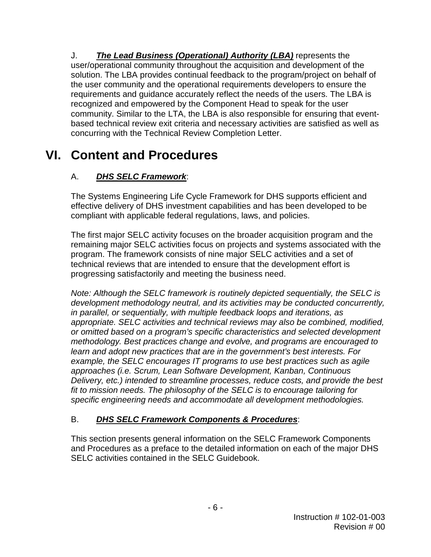J. *The Lead Business (Operational) Authority (LBA)* represents the user/operational community throughout the acquisition and development of the solution. The LBA provides continual feedback to the program/project on behalf of the user community and the operational requirements developers to ensure the requirements and guidance accurately reflect the needs of the users. The LBA is recognized and empowered by the Component Head to speak for the user community. Similar to the LTA, the LBA is also responsible for ensuring that eventbased technical review exit criteria and necessary activities are satisfied as well as concurring with the Technical Review Completion Letter.

## **VI. Content and Procedures**

## A. *DHS SELC Framework*:

The Systems Engineering Life Cycle Framework for DHS supports efficient and effective delivery of DHS investment capabilities and has been developed to be compliant with applicable federal regulations, laws, and policies.

The first major SELC activity focuses on the broader acquisition program and the remaining major SELC activities focus on projects and systems associated with the program. The framework consists of nine major SELC activities and a set of technical reviews that are intended to ensure that the development effort is progressing satisfactorily and meeting the business need.

*Note: Although the SELC framework is routinely depicted sequentially, the SELC is development methodology neutral, and its activities may be conducted concurrently, in parallel, or sequentially, with multiple feedback loops and iterations, as appropriate. SELC activities and technical reviews may also be combined, modified, or omitted based on a program's specific characteristics and selected development methodology. Best practices change and evolve, and programs are encouraged to learn and adopt new practices that are in the government's best interests. For example, the SELC encourages IT programs to use best practices such as agile approaches (i.e. Scrum, Lean Software Development, Kanban, Continuous Delivery, etc.) intended to streamline processes, reduce costs, and provide the best fit to mission needs. The philosophy of the SELC is to encourage tailoring for specific engineering needs and accommodate all development methodologies.*

## B. *DHS SELC Framework Components & Procedures*:

This section presents general information on the SELC Framework Components and Procedures as a preface to the detailed information on each of the major DHS SELC activities contained in the SELC Guidebook.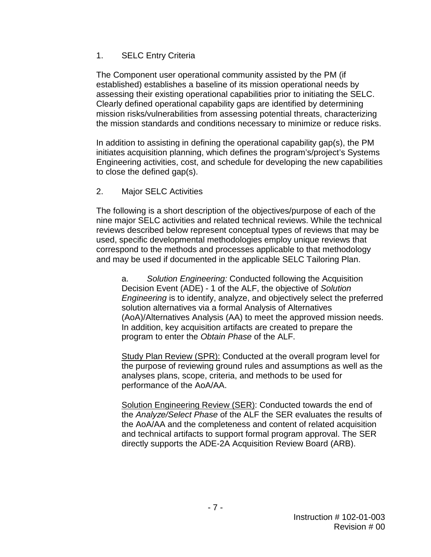### 1. SELC Entry Criteria

The Component user operational community assisted by the PM (if established) establishes a baseline of its mission operational needs by assessing their existing operational capabilities prior to initiating the SELC. Clearly defined operational capability gaps are identified by determining mission risks/vulnerabilities from assessing potential threats, characterizing the mission standards and conditions necessary to minimize or reduce risks.

In addition to assisting in defining the operational capability gap(s), the PM initiates acquisition planning, which defines the program's/project's Systems Engineering activities, cost, and schedule for developing the new capabilities to close the defined gap(s).

### 2. Major SELC Activities

The following is a short description of the objectives/purpose of each of the nine major SELC activities and related technical reviews. While the technical reviews described below represent conceptual types of reviews that may be used, specific developmental methodologies employ unique reviews that correspond to the methods and processes applicable to that methodology and may be used if documented in the applicable SELC Tailoring Plan.

a. *Solution Engineering:* Conducted following the Acquisition Decision Event (ADE) - 1 of the ALF, the objective of *Solution Engineering* is to identify, analyze, and objectively select the preferred solution alternatives via a formal Analysis of Alternatives (AoA)/Alternatives Analysis (AA) to meet the approved mission needs. In addition, key acquisition artifacts are created to prepare the program to enter the *Obtain Phase* of the ALF.

Study Plan Review (SPR): Conducted at the overall program level for the purpose of reviewing ground rules and assumptions as well as the analyses plans, scope, criteria, and methods to be used for performance of the AoA/AA.

Solution Engineering Review (SER): Conducted towards the end of the *Analyze/Select Phase* of the ALF the SER evaluates the results of the AoA/AA and the completeness and content of related acquisition and technical artifacts to support formal program approval. The SER directly supports the ADE-2A Acquisition Review Board (ARB).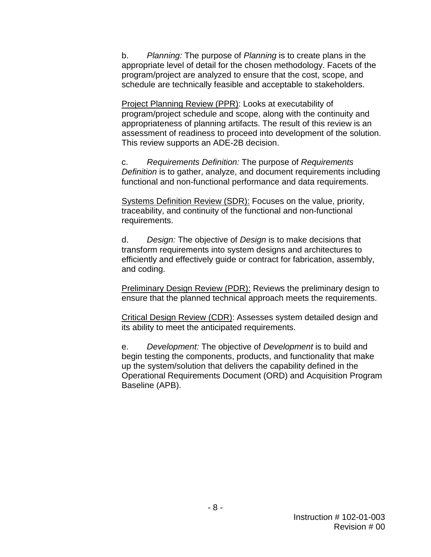b. *Planning:* The purpose of *Planning* is to create plans in the appropriate level of detail for the chosen methodology. Facets of the program/project are analyzed to ensure that the cost, scope, and schedule are technically feasible and acceptable to stakeholders.

Project Planning Review (PPR): Looks at executability of program/project schedule and scope, along with the continuity and appropriateness of planning artifacts. The result of this review is an assessment of readiness to proceed into development of the solution. This review supports an ADE-2B decision.

c. *Requirements Definition:* The purpose of *Requirements Definition* is to gather, analyze, and document requirements including functional and non-functional performance and data requirements.

Systems Definition Review (SDR): Focuses on the value, priority, traceability, and continuity of the functional and non-functional requirements.

d. *Design:* The objective of *Design* is to make decisions that transform requirements into system designs and architectures to efficiently and effectively guide or contract for fabrication, assembly, and coding.

Preliminary Design Review (PDR): Reviews the preliminary design to ensure that the planned technical approach meets the requirements.

Critical Design Review (CDR): Assesses system detailed design and its ability to meet the anticipated requirements.

e. *Development:* The objective of *Development* is to build and begin testing the components, products, and functionality that make up the system/solution that delivers the capability defined in the Operational Requirements Document (ORD) and Acquisition Program Baseline (APB).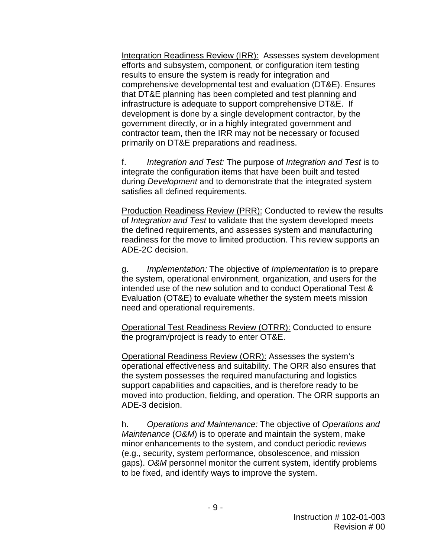Integration Readiness Review (IRR): Assesses system development efforts and subsystem, component, or configuration item testing results to ensure the system is ready for integration and comprehensive developmental test and evaluation (DT&E). Ensures that DT&E planning has been completed and test planning and infrastructure is adequate to support comprehensive DT&E. If development is done by a single development contractor, by the government directly, or in a highly integrated government and contractor team, then the IRR may not be necessary or focused primarily on DT&E preparations and readiness.

f. *Integration and Test:* The purpose of *Integration and Test* is to integrate the configuration items that have been built and tested during *Development* and to demonstrate that the integrated system satisfies all defined requirements.

Production Readiness Review (PRR): Conducted to review the results of *Integration and Test* to validate that the system developed meets the defined requirements, and assesses system and manufacturing readiness for the move to limited production. This review supports an ADE-2C decision.

g. *Implementation:* The objective of *Implementation* is to prepare the system, operational environment, organization, and users for the intended use of the new solution and to conduct Operational Test & Evaluation (OT&E) to evaluate whether the system meets mission need and operational requirements.

Operational Test Readiness Review (OTRR): Conducted to ensure the program/project is ready to enter OT&E.

Operational Readiness Review (ORR): Assesses the system's operational effectiveness and suitability. The ORR also ensures that the system possesses the required manufacturing and logistics support capabilities and capacities, and is therefore ready to be moved into production, fielding, and operation. The ORR supports an ADE-3 decision.

h. *Operations and Maintenance:* The objective of *Operations and Maintenance* (*O&M*) is to operate and maintain the system, make minor enhancements to the system, and conduct periodic reviews (e.g., security, system performance, obsolescence, and mission gaps). *O&M* personnel monitor the current system, identify problems to be fixed, and identify ways to improve the system.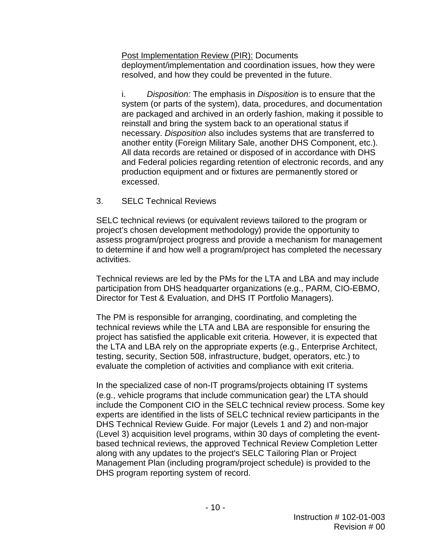Post Implementation Review (PIR): Documents deployment/implementation and coordination issues, how they were resolved, and how they could be prevented in the future.

i. *Disposition:* The emphasis in *Disposition* is to ensure that the system (or parts of the system), data, procedures, and documentation are packaged and archived in an orderly fashion, making it possible to reinstall and bring the system back to an operational status if necessary. *Disposition* also includes systems that are transferred to another entity (Foreign Military Sale, another DHS Component, etc.). All data records are retained or disposed of in accordance with DHS and Federal policies regarding retention of electronic records, and any production equipment and or fixtures are permanently stored or excessed.

#### 3. SELC Technical Reviews

SELC technical reviews (or equivalent reviews tailored to the program or project's chosen development methodology) provide the opportunity to assess program/project progress and provide a mechanism for management to determine if and how well a program/project has completed the necessary activities.

Technical reviews are led by the PMs for the LTA and LBA and may include participation from DHS headquarter organizations (e.g., PARM, CIO-EBMO, Director for Test & Evaluation, and DHS IT Portfolio Managers).

The PM is responsible for arranging, coordinating, and completing the technical reviews while the LTA and LBA are responsible for ensuring the project has satisfied the applicable exit criteria. However, it is expected that the LTA and LBA rely on the appropriate experts (e.g., Enterprise Architect, testing, security, Section 508, infrastructure, budget, operators, etc.) to evaluate the completion of activities and compliance with exit criteria.

In the specialized case of non-IT programs/projects obtaining IT systems (e.g., vehicle programs that include communication gear) the LTA should include the Component CIO in the SELC technical review process. Some key experts are identified in the lists of SELC technical review participants in the DHS Technical Review Guide. For major (Levels 1 and 2) and non-major (Level 3) acquisition level programs, within 30 days of completing the eventbased technical reviews, the approved Technical Review Completion Letter along with any updates to the project's SELC Tailoring Plan or Project Management Plan (including program/project schedule) is provided to the DHS program reporting system of record.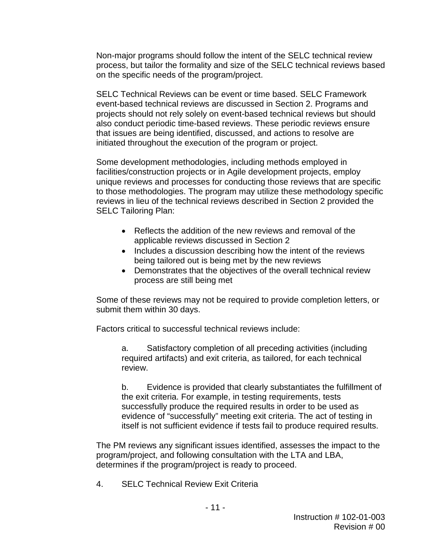Non-major programs should follow the intent of the SELC technical review process, but tailor the formality and size of the SELC technical reviews based on the specific needs of the program/project.

SELC Technical Reviews can be event or time based. SELC Framework event-based technical reviews are discussed in Section 2. Programs and projects should not rely solely on event-based technical reviews but should also conduct periodic time-based reviews. These periodic reviews ensure that issues are being identified, discussed, and actions to resolve are initiated throughout the execution of the program or project.

Some development methodologies, including methods employed in facilities/construction projects or in Agile development projects, employ unique reviews and processes for conducting those reviews that are specific to those methodologies. The program may utilize these methodology specific reviews in lieu of the technical reviews described in Section 2 provided the SELC Tailoring Plan:

- Reflects the addition of the new reviews and removal of the applicable reviews discussed in Section 2
- Includes a discussion describing how the intent of the reviews being tailored out is being met by the new reviews
- Demonstrates that the objectives of the overall technical review process are still being met

Some of these reviews may not be required to provide completion letters, or submit them within 30 days.

Factors critical to successful technical reviews include:

a. Satisfactory completion of all preceding activities (including required artifacts) and exit criteria, as tailored, for each technical review.

b. Evidence is provided that clearly substantiates the fulfillment of the exit criteria. For example, in testing requirements, tests successfully produce the required results in order to be used as evidence of "successfully" meeting exit criteria. The act of testing in itself is not sufficient evidence if tests fail to produce required results.

The PM reviews any significant issues identified, assesses the impact to the program/project, and following consultation with the LTA and LBA, determines if the program/project is ready to proceed.

4. SELC Technical Review Exit Criteria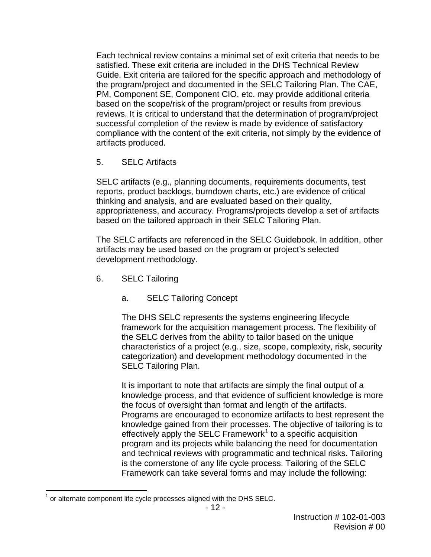Each technical review contains a minimal set of exit criteria that needs to be satisfied. These exit criteria are included in the DHS Technical Review Guide. Exit criteria are tailored for the specific approach and methodology of the program/project and documented in the SELC Tailoring Plan. The CAE, PM, Component SE, Component CIO, etc. may provide additional criteria based on the scope/risk of the program/project or results from previous reviews. It is critical to understand that the determination of program/project successful completion of the review is made by evidence of satisfactory compliance with the content of the exit criteria, not simply by the evidence of artifacts produced.

5. SELC Artifacts

SELC artifacts (e.g., planning documents, requirements documents, test reports, product backlogs, burndown charts, etc.) are evidence of critical thinking and analysis, and are evaluated based on their quality, appropriateness, and accuracy. Programs/projects develop a set of artifacts based on the tailored approach in their SELC Tailoring Plan.

The SELC artifacts are referenced in the SELC Guidebook. In addition, other artifacts may be used based on the program or project's selected development methodology.

- 6. SELC Tailoring
	- a. SELC Tailoring Concept

The DHS SELC represents the systems engineering lifecycle framework for the acquisition management process. The flexibility of the SELC derives from the ability to tailor based on the unique characteristics of a project (e.g., size, scope, complexity, risk, security categorization) and development methodology documented in the SELC Tailoring Plan.

It is important to note that artifacts are simply the final output of a knowledge process, and that evidence of sufficient knowledge is more the focus of oversight than format and length of the artifacts. Programs are encouraged to economize artifacts to best represent the knowledge gained from their processes. The objective of tailoring is to effectively apply the SELC Framework<sup>[1](#page-11-0)</sup> to a specific acquisition program and its projects while balancing the need for documentation and technical reviews with programmatic and technical risks. Tailoring is the cornerstone of any life cycle process. Tailoring of the SELC Framework can take several forms and may include the following:

<span id="page-11-0"></span> $1$  or alternate component life cycle processes aligned with the DHS SELC.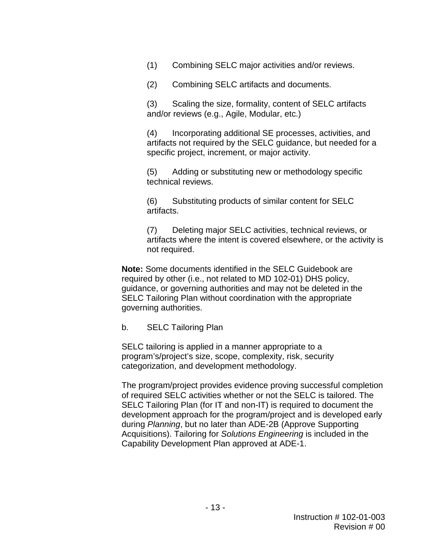(1) Combining SELC major activities and/or reviews.

(2) Combining SELC artifacts and documents.

(3) Scaling the size, formality, content of SELC artifacts and/or reviews (e.g., Agile, Modular, etc.)

(4) Incorporating additional SE processes, activities, and artifacts not required by the SELC guidance, but needed for a specific project, increment, or major activity.

(5) Adding or substituting new or methodology specific technical reviews.

(6) Substituting products of similar content for SELC artifacts.

(7) Deleting major SELC activities, technical reviews, or artifacts where the intent is covered elsewhere, or the activity is not required.

**Note:** Some documents identified in the SELC Guidebook are required by other (i.e., not related to MD 102-01) DHS policy, guidance, or governing authorities and may not be deleted in the SELC Tailoring Plan without coordination with the appropriate governing authorities.

#### b. SELC Tailoring Plan

SELC tailoring is applied in a manner appropriate to a program's/project's size, scope, complexity, risk, security categorization, and development methodology.

The program/project provides evidence proving successful completion of required SELC activities whether or not the SELC is tailored. The SELC Tailoring Plan (for IT and non-IT) is required to document the development approach for the program/project and is developed early during *Planning*, but no later than ADE-2B (Approve Supporting Acquisitions). Tailoring for *Solutions Engineering* is included in the Capability Development Plan approved at ADE-1.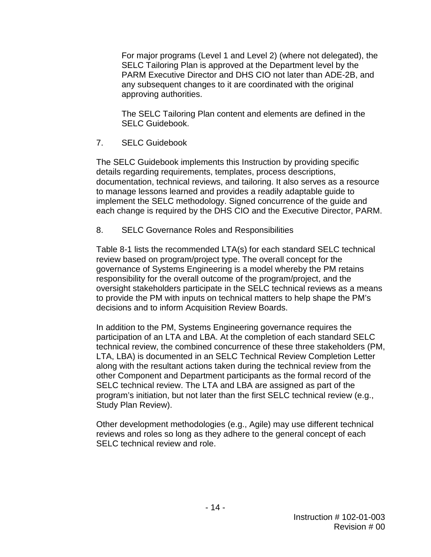For major programs (Level 1 and Level 2) (where not delegated), the SELC Tailoring Plan is approved at the Department level by the PARM Executive Director and DHS CIO not later than ADE-2B, and any subsequent changes to it are coordinated with the original approving authorities.

The SELC Tailoring Plan content and elements are defined in the SELC Guidebook.

7. SELC Guidebook

The SELC Guidebook implements this Instruction by providing specific details regarding requirements, templates, process descriptions, documentation, technical reviews, and tailoring. It also serves as a resource to manage lessons learned and provides a readily adaptable guide to implement the SELC methodology. Signed concurrence of the guide and each change is required by the DHS CIO and the Executive Director, PARM.

8. SELC Governance Roles and Responsibilities

Table 8-1 lists the recommended LTA(s) for each standard SELC technical review based on program/project type. The overall concept for the governance of Systems Engineering is a model whereby the PM retains responsibility for the overall outcome of the program/project, and the oversight stakeholders participate in the SELC technical reviews as a means to provide the PM with inputs on technical matters to help shape the PM's decisions and to inform Acquisition Review Boards.

In addition to the PM, Systems Engineering governance requires the participation of an LTA and LBA. At the completion of each standard SELC technical review, the combined concurrence of these three stakeholders (PM, LTA, LBA) is documented in an SELC Technical Review Completion Letter along with the resultant actions taken during the technical review from the other Component and Department participants as the formal record of the SELC technical review. The LTA and LBA are assigned as part of the program's initiation, but not later than the first SELC technical review (e.g., Study Plan Review).

Other development methodologies (e.g., Agile) may use different technical reviews and roles so long as they adhere to the general concept of each SELC technical review and role.